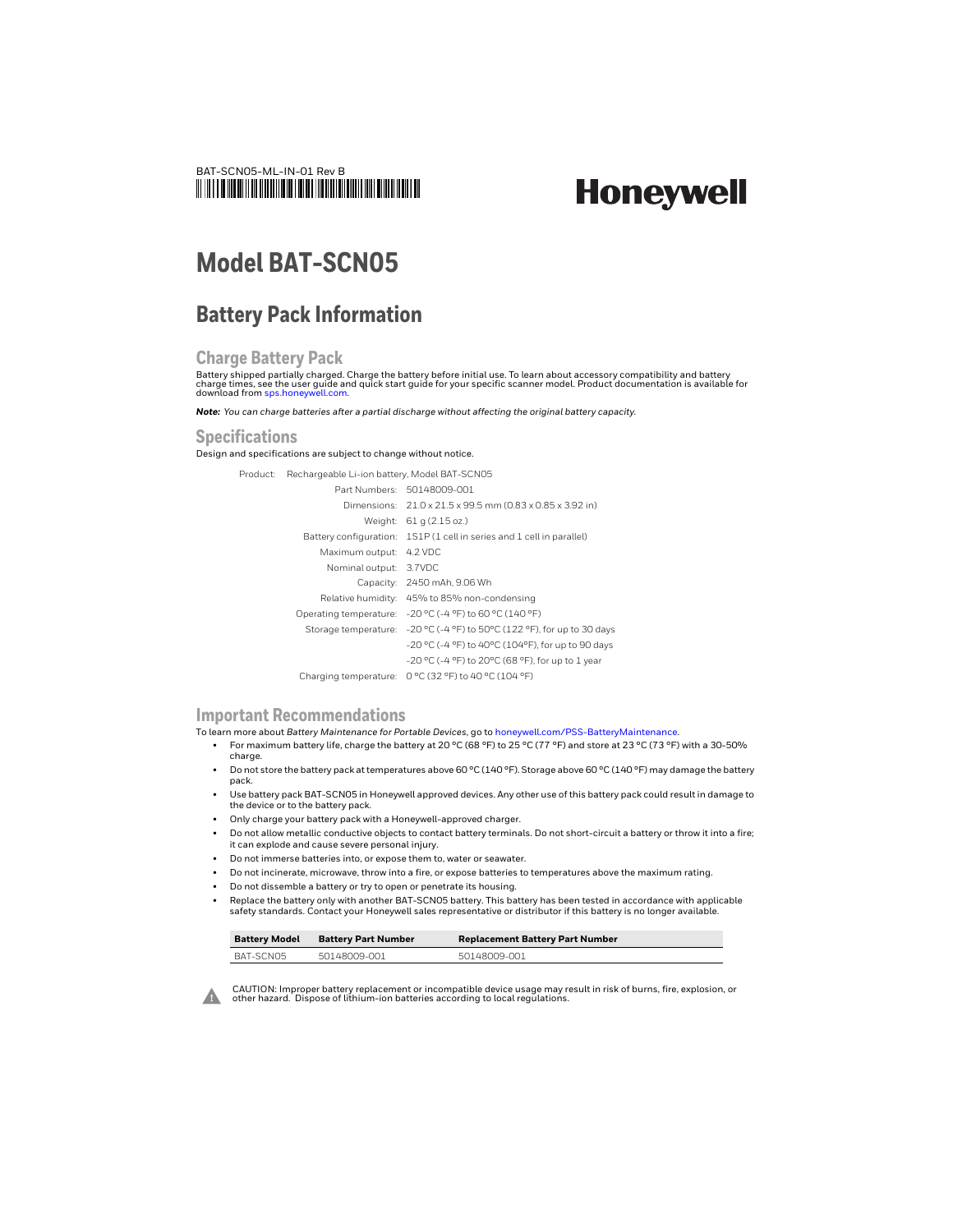

# **Honeywell**

## **Model BAT-SCN05**

### **Battery Pack Information**

#### **Charge Battery Pack**

Battery shipped partially charged. Charge the battery before initial use. To learn about accessory compatibility and battery charge times, see the user guide and quick start guide for your specific scanner model. Product documentation is available for download from [sps.honeywell.com](https://sps.honeywell.com).

*Note: You can charge batteries after a partial discharge without affecting the original battery capacity.*

#### **Specifications**

Design and specifications are subject to change without notice.

Product: Rechargeable Li-ion battery, Model BAT-SCN05

|                         | Part Numbers: 50148009-001                                              |
|-------------------------|-------------------------------------------------------------------------|
|                         | Dimensions: 21.0 x 21.5 x 99.5 mm (0.83 x 0.85 x 3.92 in)               |
|                         | Weight: 61 g (2.15 oz.)                                                 |
|                         | Battery configuration: 1S1P (1 cell in series and 1 cell in parallel)   |
| Maximum output: 4.2 VDC |                                                                         |
| Nominal output: 3.7VDC  |                                                                         |
|                         | Capacity: 2450 mAh, 9.06 Wh                                             |
|                         | Relative humidity: 45% to 85% non-condensing                            |
|                         | Operating temperature: - 20 °C (-4 °F) to 60 °C (140 °F)                |
|                         | Storage temperature: -20 °C (-4 °F) to 50°C (122 °F), for up to 30 days |
|                         | -20 °C (-4 °F) to 40°C (104°F), for up to 90 days                       |
|                         | -20 °C (-4 °F) to 20°C (68 °F), for up to 1 year                        |
| Charging temperature:   | 0 °C (32 °F) to 40 °C (104 °F)                                          |

#### **Important Recommendations**

To learn more about *Battery Maintenance for Portable Devices*, go to [honeywell.com/PSS-BatteryMaintenance](https://honeywell.com/PSS-BatteryMaintenance).

- For maximum battery life, charge the battery at 20 °C (68 °F) to 25 °C (77 °F) and store at 23 °C (73 °F) with a 30-50% charge.
- Do not store the battery pack at temperatures above 60 °C (140 °F). Storage above 60 °C (140 °F) may damage the battery pack.
- Use battery pack BAT-SCN05 in Honeywell approved devices. Any other use of this battery pack could result in damage to the device or to the battery pack.
- Only charge your battery pack with a Honeywell-approved charger.
- Do not allow metallic conductive objects to contact battery terminals. Do not short-circuit a battery or throw it into a fire; it can explode and cause severe personal injury.
- Do not immerse batteries into, or expose them to, water or seawater.
- Do not incinerate, microwave, throw into a fire, or expose batteries to temperatures above the maximum rating.
- Do not dissemble a battery or try to open or penetrate its housing.
- Replace the battery only with another BAT-SCN05 battery. This battery has been tested in accordance with applicable safety standards. Contact your Honeywell sales representative or distributor if this battery is no longer available.

| <b>Battery Model</b> | <b>Battery Part Number</b> | <b>Replacement Battery Part Number</b> |
|----------------------|----------------------------|----------------------------------------|
| BAT-SCN05            | 50148009-001               | 50148009-001                           |



CAUTION: Improper battery replacement or incompatible device usage may result in risk of burns, fire, explosion, or other hazard. Dispose of lithium-ion batteries according to local regulations.